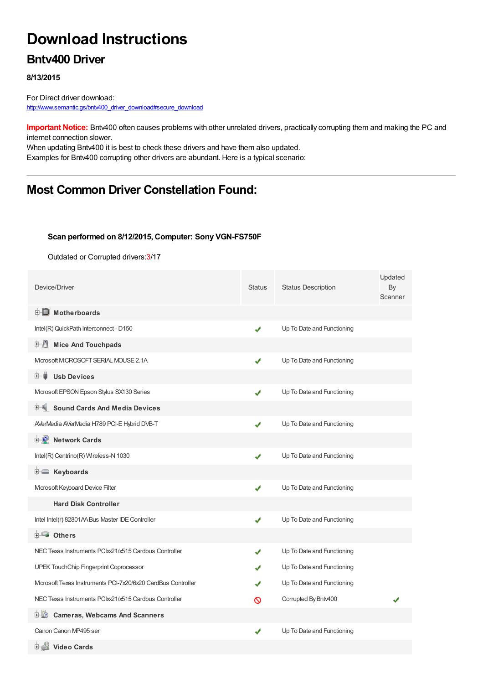# **Download Instructions**

### **Bntv400 Driver**

#### **8/13/2015**

For Direct driver download: [http://www.semantic.gs/bntv400\\_driver\\_download#secure\\_download](http://www.semantic.gs/bntv400_driver_download#secure_download)

**Important Notice:** Bntv400 often causes problems with other unrelated drivers, practically corrupting them and making the PC and internet connection slower.

When updating Bntv400 it is best to check these drivers and have them also updated. Examples for Bntv400 corrupting other drivers are abundant. Here is a typical scenario:

### **Most Common Driver Constellation Found:**

#### **Scan performed on 8/12/2015, Computer: Sony VGN-FS750F**

Outdated or Corrupted drivers:3/17

| Device/Driver                                                | <b>Status</b> | <b>Status Description</b>  | Updated<br>By<br>Scanner |
|--------------------------------------------------------------|---------------|----------------------------|--------------------------|
| <b>E</b> Motherboards                                        |               |                            |                          |
| Intel(R) QuickPath Interconnect - D150                       | ✔             | Up To Date and Functioning |                          |
| <b>E</b> Mice And Touchpads                                  |               |                            |                          |
| Microsoft MICROSOFT SERIAL MOUSE 2.1A                        | ✔             | Up To Date and Functioning |                          |
| <b>Usb Devices</b><br>E- I                                   |               |                            |                          |
| Mcrosoft EPSON Epson Stylus SX130 Series                     | ✔             | Up To Date and Functioning |                          |
| <b>Sound Cards And Media Devices</b>                         |               |                            |                          |
| AVerMedia AVerMedia H789 PCI-E Hybrid DVB-T                  | ✔             | Up To Date and Functioning |                          |
| <b>E-D</b> Network Cards                                     |               |                            |                          |
| Intel(R) Centrino(R) Wireless-N 1030                         | ✔             | Up To Date and Functioning |                          |
| E Keyboards                                                  |               |                            |                          |
| Microsoft Keyboard Device Filter                             | ✔             | Up To Date and Functioning |                          |
| <b>Hard Disk Controller</b>                                  |               |                            |                          |
| Intel Intel(r) 82801AA Bus Master IDE Controller             | ✔             | Up To Date and Functioning |                          |
| <b>E</b> Others                                              |               |                            |                          |
| NEC Texas Instruments PCIxx21/x515 Cardbus Controller        | ✔             | Up To Date and Functioning |                          |
| UPEK TouchChip Fingerprint Coprocessor                       | J             | Up To Date and Functioning |                          |
| Microsoft Texas Instruments PCI-7x20/6x20 CardBus Controller |               | Up To Date and Functioning |                          |
| NEC Texas Instruments PCIxx21/x515 Cardbus Controller        | ര             | Corrupted By Bntv400       |                          |
| <b>Cameras, Webcams And Scanners</b><br>⊡∙LO                 |               |                            |                          |
| Canon Canon MP495 ser                                        | ✔             | Up To Date and Functioning |                          |
| 由書 Video Cards                                               |               |                            |                          |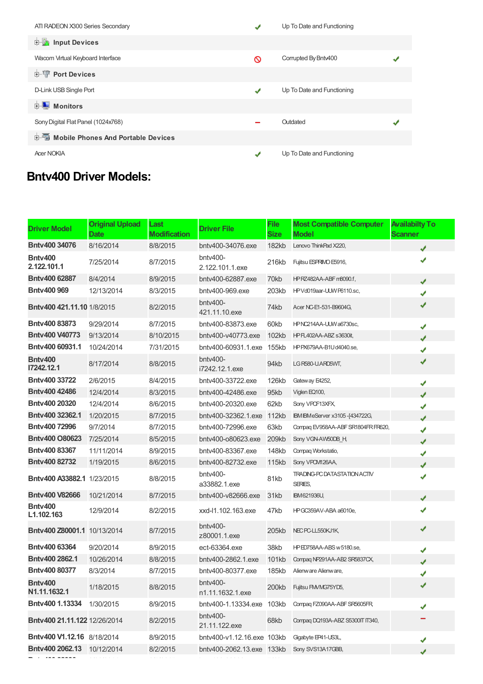| ATI RADEON X300 Series Secondary             | ✔ | Up To Date and Functioning |  |
|----------------------------------------------|---|----------------------------|--|
| input Devices                                |   |                            |  |
| Wacom Virtual Keyboard Interface             | Ø | Corrupted By Bntv400       |  |
| <b>E-</b> Port Devices                       |   |                            |  |
| D-Link USB Single Port                       | ✔ | Up To Date and Functioning |  |
| Monitors                                     |   |                            |  |
| Sony Digital Flat Panel (1024x768)           |   | Outdated                   |  |
| <b>E-</b> Mobile Phones And Portable Devices |   |                            |  |
| <b>Acer NOKIA</b>                            | ↵ | Up To Date and Functioning |  |

## **Bntv400 Driver Models:**

| <b>Driver Model</b>               | <b>Original Upload</b><br>Date | Last<br><b>Modification</b> | <b>Driver File</b>            | File<br><b>Size</b> | <b>Most Compatible Computer</b><br><b>Model</b> | <b>Availabilty To</b><br>Scanner |
|-----------------------------------|--------------------------------|-----------------------------|-------------------------------|---------------------|-------------------------------------------------|----------------------------------|
| Bnty400 34076                     | 8/16/2014                      | 8/8/2015                    | bnty400-34076.exe             | 182kb               | Lenovo ThinkPad X220,                           | ✔                                |
| Bnty400<br>2.122.101.1            | 7/25/2014                      | 8/7/2015                    | bntv400-<br>2.122.101.1.exe   | 216kb               | Fujitsu ESPRIMO E5916,                          | J                                |
| Bnty400 62887                     | 8/4/2014                       | 8/9/2015                    | bnty400-62887.exe             | 70kb                | HPRZ482AA-ABF m8090.f,                          | J                                |
| <b>Bntv400 969</b>                | 12/13/2014                     | 8/3/2015                    | bnty400-969.exe               | 203kb               | HPVd019aar-UUW P6110.sc,                        | ✔                                |
| Bnty400 421.11.10 1/8/2015        |                                | 8/2/2015                    | bntv400-<br>421.11.10.exe     | 74kb                | Acer NC-E1-531-B9604G,                          | ✔                                |
| Bnty400 83873                     | 9/29/2014                      | 8/7/2015                    | bntv400-83873.exe             | 60kb                | HPNC214AA-UUW a6730sc,                          | ✔                                |
| <b>Bntv400 V40773</b>             | 9/13/2014                      | 8/10/2015                   | bnty400-y40773.exe            | 102kb               | HPFL402AA-ABZ s3630it,                          | ✔                                |
| Bntv400 60931.1                   | 10/24/2014                     | 7/31/2015                   | bntv400-60931.1.exe           | 155kb               | HPPX679AA-B1Ud4040.se,                          | ✔                                |
| Bnty400<br>17242.12.1             | 8/17/2014                      | 8/8/2015                    | $b$ ntv400-<br>i7242.12.1.exe | 94kb                | LG R580-U.ARD5WT,                               | ✔                                |
| Bnty400 33722                     | 2/6/2015                       | 8/4/2015                    | bntv400-33722.exe             | 126kb               | Gateway E4252,                                  | ✔                                |
| <b>Bntv400 42486</b>              | 12/4/2014                      | 8/3/2015                    | bnty400-42486.exe             | 95kb                | Viglen EQ100,                                   | J                                |
| Bnty400 20320                     | 12/4/2014                      | 8/6/2015                    | bntv400-20320.exe             | 62kb                | Sony VPCF13XFX,                                 | ✔                                |
| Bnty400 32362.1                   | 1/20/2015                      | 8/7/2015                    | bnty400-32362.1.exe           | 112kb               | IBM IBM eServer x 3105 - [434722G,              | J                                |
| Bntv400 72996                     | 9/7/2014                       | 8/7/2015                    | bnty400-72996.exe             | 63kb                | Compag EV958AA-ABF SR1804FR FR620,              | ✔                                |
| Bnty400 O80623                    | 7/25/2014                      | 8/5/2015                    | bntv400-o80623.exe            | 209kb               | Sony VGN-AW50DB H,                              | ✔                                |
| Bnty400 83367                     | 11/11/2014                     | 8/9/2015                    | bnty400-83367.exe             | 148kb               | Compaq Workstatio,                              | ✔                                |
| Bnty400 82732                     | 1/19/2015                      | 8/6/2015                    | bntv400-82732.exe             | 115kb               | Sony VPOM126AA,                                 | ✔                                |
| <b>Bntv400 A33882.1 1/23/2015</b> |                                | 8/8/2015                    | bntv400-<br>a33882.1.exe      | 81kb                | <b>TRADING-PC DATASTATION ACTIV</b><br>SERIES,  | ✔                                |
| <b>Bntv400 V82666</b>             | 10/21/2014                     | 8/7/2015                    | bnty400-y82666.exe            | 31kb                | <b>IBM621936U,</b>                              | J                                |
| Bnty400<br>L1.102.163             | 12/9/2014                      | 8/2/2015                    | xxd-l1.102.163.exe            | 47kb                | HPGC359AV-ABA a6010e,                           | ✔                                |
| Bntv400 Z80001.1 10/13/2014       |                                | 8/7/2015                    | bntv400-<br>z80001.1.exe      | 205kb               | NEC PC-LL550KJ1K,                               | ✔                                |
| Bnty400 63364                     | 9/20/2014                      | 8/9/2015                    | ect-63364.exe                 | 38kb                | HPED758AA-ABS w 5180.se,                        | ✔                                |
| Bnty400 2862.1                    | 10/26/2014                     | 8/8/2015                    | bnty400-2862.1.exe            | 101kb               | Compaq NP291AA-AB2 SR5837CX,                    | J                                |
| Bntv400 80377                     | 8/3/2014                       | 8/7/2015                    | bnty400-80377.exe             | 185kb               | Alienware Alienware,                            | ✔                                |
| Bntv400<br>N1.11.1632.1           | 1/18/2015                      | 8/8/2015                    | bntv400-<br>n1.11.1632.1.exe  | 200kb               | Fujitsu FMVMG75YD5,                             | ✔                                |
| Bntv400 1.13334                   | 1/30/2015                      | 8/9/2015                    | bntv400-1.13334.exe           | 103kb               | Compaq FZ090AA-ABF SR5605FR,                    | ✔                                |
| Bntv400 21.11.122 12/26/2014      |                                | 8/2/2015                    | bntv400-<br>21.11.122.exe     | 68kb                | Compag DQ193A-ABZ S5300IT IT340,                |                                  |
| Bntv400 V1.12.16 8/18/2014        |                                | 8/9/2015                    | bntv400-v1.12.16.exe 103kb    |                     | Gigabyte EP41-US3L,                             | ✔                                |
| Bntv400 2062.13                   | 10/12/2014                     | 8/2/2015                    | bntv400-2062.13.exe 133kb     |                     | Sony SVS13A17GBB,                               |                                  |